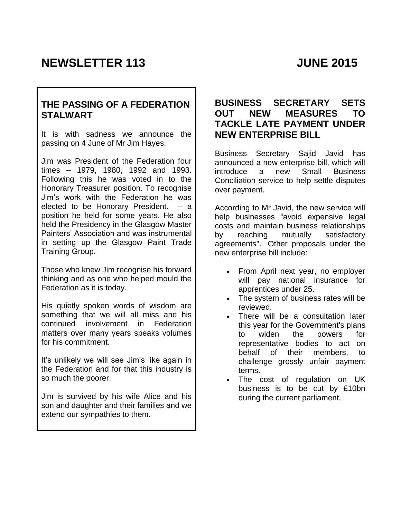# **NEWSLETTER 113 JUNE 2015**

# **THE PASSING OF A FEDERATION STALWART**

It is with sadness we announce the passing on 4 June of Mr Jim Hayes.

Jim was President of the Federation four times – 1979, 1980, 1992 and 1993. Following this he was voted in to the Honorary Treasurer position. To recognise Jim's work with the Federation he was elected to be Honorary President. – a position he held for some years. He also held the Presidency in the Glasgow Master Painters' Association and was instrumental in setting up the Glasgow Paint Trade Training Group.

Those who knew Jim recognise his forward thinking and as one who helped mould the Federation as it is today.

His quietly spoken words of wisdom are something that we will all miss and his continued involvement in Federation matters over many years speaks volumes for his commitment.

It's unlikely we will see Jim's like again in the Federation and for that this industry is so much the poorer.

Jim is survived by his wife Alice and his son and daughter and their families and we extend our sympathies to them.

#### **BUSINESS SECRETARY SETS OUT NEW MEASURES TO TACKLE LATE PAYMENT UNDER NEW ENTERPRISE BILL**

Business Secretary Sajid Javid has announced a new enterprise bill, which will introduce a new Small Business Conciliation service to help settle disputes over payment.

According to Mr Javid, the new service will help businesses "avoid expensive legal costs and maintain business relationships by reaching mutually satisfactory agreements". Other proposals under the new enterprise bill include:

- From April next year, no employer will pay national insurance for apprentices under 25.
- The system of business rates will be reviewed.
- There will be a consultation later this year for the Government's plans to widen the powers for representative bodies to act on behalf of their members, to challenge grossly unfair payment terms.
- The cost of regulation on UK business is to be cut by £10bn during the current parliament.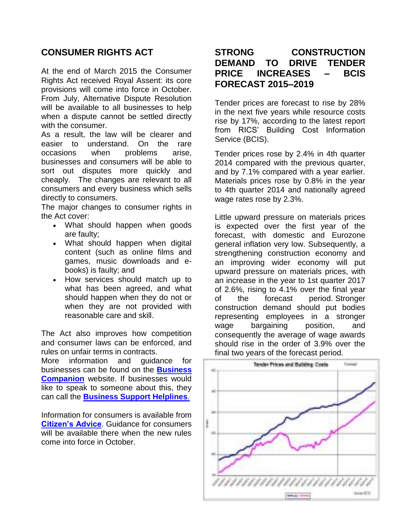# **CONSUMER RIGHTS ACT**

At the end of March 2015 the Consumer Rights Act received Royal Assent: its core provisions will come into force in October. From July, Alternative Dispute Resolution will be available to all businesses to help when a dispute cannot be settled directly with the consumer.

As a result, the law will be clearer and easier to understand. On the rare occasions when problems arise, businesses and consumers will be able to sort out disputes more quickly and cheaply. The changes are relevant to all consumers and every business which sells directly to consumers.

The major changes to consumer rights in the Act cover:

- What should happen when goods are faulty;
- What should happen when digital content (such as online films and games, music downloads and ebooks) is faulty; and
- How services should match up to what has been agreed, and what should happen when they do not or when they are not provided with reasonable care and skill.

The Act also improves how competition and consumer laws can be enforced, and rules on unfair terms in contracts.

More information and guidance for businesses can be found on the **[Business](http://www.connect.bis.gov.uk/_/app/emailRobot/index/click/secret/c24dab2e451196aa95f7c6aef7c2047d?link=http%3A%2F%2Fwww.businesscompanion.info%2Fen%2Fnews-and-updates%2Fconsumer-rights-act)  [Companion](http://www.connect.bis.gov.uk/_/app/emailRobot/index/click/secret/c24dab2e451196aa95f7c6aef7c2047d?link=http%3A%2F%2Fwww.businesscompanion.info%2Fen%2Fnews-and-updates%2Fconsumer-rights-act)** website. If businesses would like to speak to someone about this, they can call the **[Business Support Helplines](http://www.connect.bis.gov.uk/_/app/emailRobot/index/click/secret/c24dab2e451196aa95f7c6aef7c2047d?link=https%3A%2F%2Fwww.gov.uk%2Fbusiness-support-helpline)**.

Information for consumers is available from **[Citizen's Advice](http://www.connect.bis.gov.uk/_/app/emailRobot/index/click/secret/c24dab2e451196aa95f7c6aef7c2047d?link=http%3A%2F%2Fwww.citizensadvice.org.uk%2Fconsumer-rights-act)**. Guidance for consumers will be available there when the new rules come into force in October.

### **STRONG CONSTRUCTION DEMAND TO DRIVE TENDER PRICE INCREASES – BCIS FORECAST 2015–2019**

Tender prices are forecast to rise by 28% in the next five years while resource costs rise by 17%, according to the latest report from RICS' Building Cost Information Service (BCIS).

Tender prices rose by 2.4% in 4th quarter 2014 compared with the previous quarter, and by 7.1% compared with a year earlier. Materials prices rose by 0.8% in the year to 4th quarter 2014 and nationally agreed wage rates rose by 2.3%.

Little upward pressure on materials prices is expected over the first year of the forecast, with domestic and Eurozone general inflation very low. Subsequently, a strengthening construction economy and an improving wider economy will put upward pressure on materials prices, with an increase in the year to 1st quarter 2017 of 2.6%, rising to 4.1% over the final year of the forecast period. Stronger construction demand should put bodies representing employees in a stronger wage bargaining position, and consequently the average of wage awards should rise in the order of 3.9% over the final two years of the forecast period.

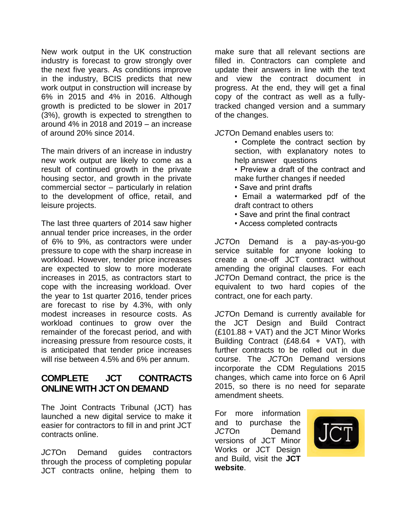New work output in the UK construction industry is forecast to grow strongly over the next five years. As conditions improve in the industry, BCIS predicts that new work output in construction will increase by 6% in 2015 and 4% in 2016. Although growth is predicted to be slower in 2017 (3%), growth is expected to strengthen to around 4% in 2018 and 2019 – an increase of around 20% since 2014.

The main drivers of an increase in industry new work output are likely to come as a result of continued growth in the private housing sector, and growth in the private commercial sector – particularly in relation to the development of office, retail, and leisure projects.

The last three quarters of 2014 saw higher annual tender price increases, in the order of 6% to 9%, as contractors were under pressure to cope with the sharp increase in workload. However, tender price increases are expected to slow to more moderate increases in 2015, as contractors start to cope with the increasing workload. Over the year to 1st quarter 2016, tender prices are forecast to rise by 4.3%, with only modest increases in resource costs. As workload continues to grow over the remainder of the forecast period, and with increasing pressure from resource costs, it is anticipated that tender price increases will rise between 4.5% and 6% per annum.

#### **COMPLETE JCT CONTRACTS ONLINE WITH JCT ON DEMAND**

The Joint Contracts Tribunal (JCT) has launched a new digital service to make it easier for contractors to fill in and print JCT contracts online.

*JCT*On Demand guides contractors through the process of completing popular JCT contracts online, helping them to make sure that all relevant sections are filled in. Contractors can complete and update their answers in line with the text and view the contract document in progress. At the end, they will get a final copy of the contract as well as a fullytracked changed version and a summary of the changes.

*JCT*On Demand enables users to:

• Complete the contract section by section, with explanatory notes to help answer questions

• Preview a draft of the contract and make further changes if needed

- Save and print drafts
- Email a watermarked pdf of the draft contract to others
- Save and print the final contract
- Access completed contracts

*JCT*On Demand is a pay-as-you-go service suitable for anyone looking to create a one-off JCT contract without amending the original clauses. For each *JCT*On Demand contract, the price is the equivalent to two hard copies of the contract, one for each party.

*JCT*On Demand is currently available for the JCT Design and Build Contract (£101.88 + VAT) and the JCT Minor Works Building Contract (£48.64 + VAT), with further contracts to be rolled out in due course. The *JCT*On Demand versions incorporate the CDM Regulations 2015 changes, which came into force on 6 April 2015, so there is no need for separate amendment sheets.

For more information and to purchase the *JCT*On Demand versions of JCT Minor Works or JCT Design and Build, visit the **[JCT](http://www.jctltd.co.uk/jct-on-demand.aspx)  [website](http://www.jctltd.co.uk/jct-on-demand.aspx)**.